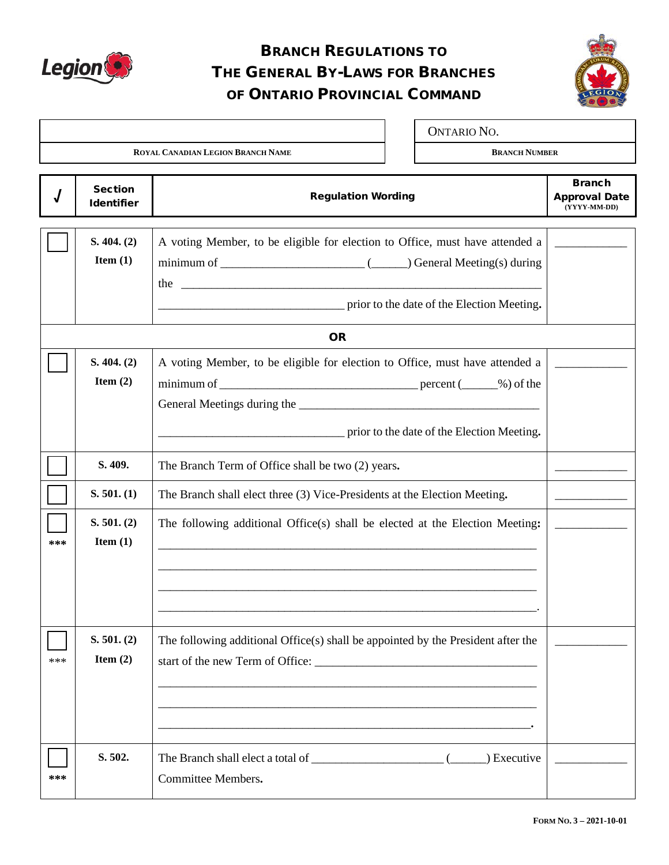

# BRANCH REGULATIONS TO THE GENERAL BY-LAWS FOR BRANCHES OF ONTARIO PROVINCIAL COMMAND



|                                          |                                     |                                                                                                                            |  | <b>ONTARIO NO.</b>   |                                                       |
|------------------------------------------|-------------------------------------|----------------------------------------------------------------------------------------------------------------------------|--|----------------------|-------------------------------------------------------|
| <b>ROYAL CANADIAN LEGION BRANCH NAME</b> |                                     |                                                                                                                            |  | <b>BRANCH NUMBER</b> |                                                       |
|                                          | <b>Section</b><br><b>Identifier</b> | <b>Regulation Wording</b>                                                                                                  |  |                      | <b>Branch</b><br><b>Approval Date</b><br>(YYYY-MM-DD) |
|                                          | S. 404. (2)<br>Item $(1)$           | A voting Member, to be eligible for election to Office, must have attended a<br>prior to the date of the Election Meeting. |  |                      |                                                       |
|                                          |                                     | <b>OR</b>                                                                                                                  |  |                      |                                                       |
|                                          | S. 404. (2)<br>Item $(2)$           | A voting Member, to be eligible for election to Office, must have attended a<br>prior to the date of the Election Meeting. |  |                      |                                                       |
|                                          | S. 409.                             | The Branch Term of Office shall be two (2) years.                                                                          |  |                      |                                                       |
|                                          | S. 501. (1)                         | The Branch shall elect three (3) Vice-Presidents at the Election Meeting.                                                  |  |                      |                                                       |
| ***                                      | S. 501. (2)<br>Item $(1)$           | The following additional Office(s) shall be elected at the Election Meeting:                                               |  |                      |                                                       |
| ***                                      | S. 501. (2)<br>Item $(2)$           | The following additional Office(s) shall be appointed by the President after the                                           |  |                      |                                                       |
| ***                                      | S. 502.                             | Committee Members.                                                                                                         |  |                      |                                                       |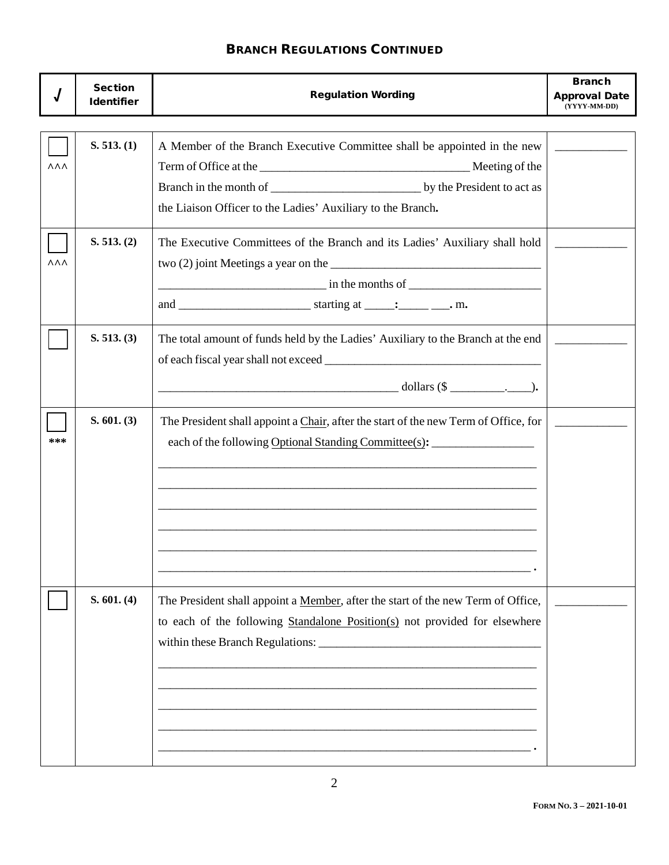|            | <b>Section</b><br><b>Identifier</b> | <b>Regulation Wording</b>                                                                                                                                                                                                              | <b>Branch</b><br><b>Approval Date</b><br>(YYYY-MM-DD) |
|------------|-------------------------------------|----------------------------------------------------------------------------------------------------------------------------------------------------------------------------------------------------------------------------------------|-------------------------------------------------------|
| <b>AAA</b> | S. 513. (1)                         | A Member of the Branch Executive Committee shall be appointed in the new<br>the Liaison Officer to the Ladies' Auxiliary to the Branch.                                                                                                |                                                       |
| <b>AAA</b> | S. 513. (2)                         | The Executive Committees of the Branch and its Ladies' Auxiliary shall hold<br>$\frac{1}{2}$ in the months of $\frac{1}{2}$ in the months of $\frac{1}{2}$<br>and $\frac{\ }{\ }$ starting at $\frac{\ }{\ }$ . $\frac{\ }{\ }$ m.     |                                                       |
|            | S. 513. (3)                         | The total amount of funds held by the Ladies' Auxiliary to the Branch at the end<br>$\overline{\phantom{a}}$ dollars (\$ $\overline{\phantom{a}}$ ).                                                                                   |                                                       |
| ***        | S. 601. (3)                         | The President shall appoint a Chair, after the start of the new Term of Office, for<br>each of the following Optional Standing Committee(s): __________________________<br><u> 1989 - Johann Stoff, amerikansk politiker (d. 1989)</u> |                                                       |
|            | S. 601. (4)                         | The President shall appoint a Member, after the start of the new Term of Office,<br>to each of the following Standalone Position(s) not provided for elsewhere                                                                         |                                                       |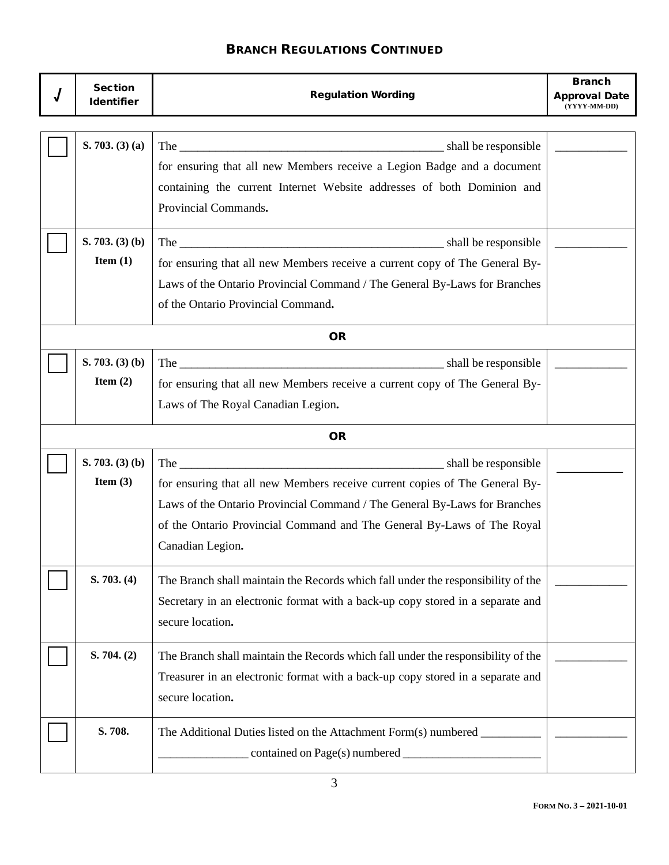| <b>Section</b><br><b>Identifier</b> | <b>Regulation Wording</b>                                                                                                                                                                                                                              | <b>Branch</b><br><b>Approval Date</b><br>(YYYY-MM-DD) |  |  |
|-------------------------------------|--------------------------------------------------------------------------------------------------------------------------------------------------------------------------------------------------------------------------------------------------------|-------------------------------------------------------|--|--|
| S. 703. (3) (a)                     | for ensuring that all new Members receive a Legion Badge and a document<br>containing the current Internet Website addresses of both Dominion and<br>Provincial Commands.                                                                              |                                                       |  |  |
| S. 703. (3) (b)<br>Item $(1)$       | for ensuring that all new Members receive a current copy of The General By-<br>Laws of the Ontario Provincial Command / The General By-Laws for Branches<br>of the Ontario Provincial Command.                                                         |                                                       |  |  |
|                                     | <b>OR</b>                                                                                                                                                                                                                                              |                                                       |  |  |
| S. 703. (3) (b)<br>Item $(2)$       | for ensuring that all new Members receive a current copy of The General By-<br>Laws of The Royal Canadian Legion.                                                                                                                                      |                                                       |  |  |
| <b>OR</b>                           |                                                                                                                                                                                                                                                        |                                                       |  |  |
| S. 703. (3) (b)<br>Item $(3)$       | for ensuring that all new Members receive current copies of The General By-<br>Laws of the Ontario Provincial Command / The General By-Laws for Branches<br>of the Ontario Provincial Command and The General By-Laws of The Royal<br>Canadian Legion. |                                                       |  |  |
| S. 703. (4)                         | The Branch shall maintain the Records which fall under the responsibility of the<br>Secretary in an electronic format with a back-up copy stored in a separate and<br>secure location.                                                                 |                                                       |  |  |
| S. 704. (2)                         | The Branch shall maintain the Records which fall under the responsibility of the<br>Treasurer in an electronic format with a back-up copy stored in a separate and<br>secure location.                                                                 |                                                       |  |  |
| S. 708.                             | The Additional Duties listed on the Attachment Form(s) numbered _                                                                                                                                                                                      |                                                       |  |  |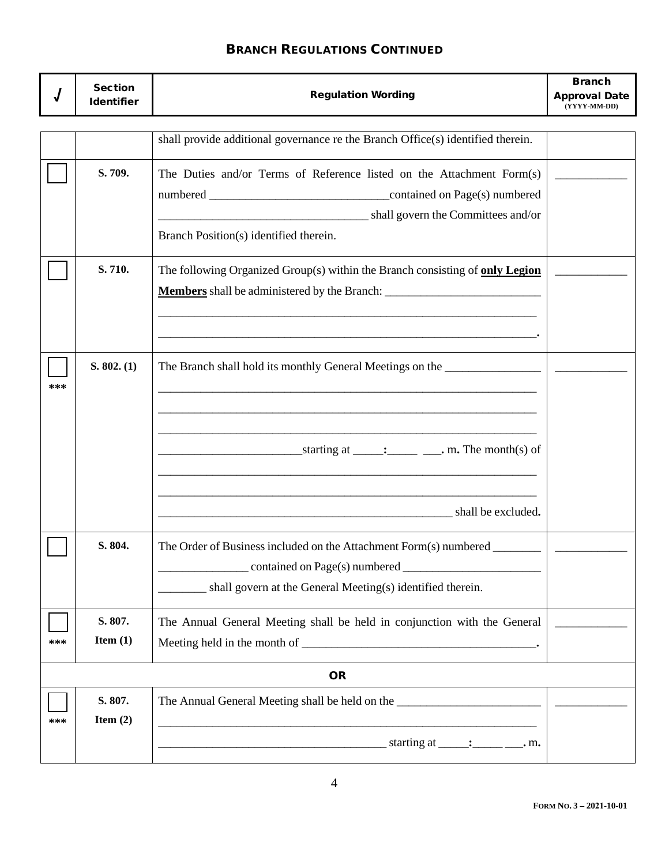|     | <b>Section</b><br><b>Identifier</b> | <b>Regulation Wording</b>                                                                                             | <b>Branch</b><br><b>Approval Date</b><br>(YYYY-MM-DD) |
|-----|-------------------------------------|-----------------------------------------------------------------------------------------------------------------------|-------------------------------------------------------|
|     |                                     |                                                                                                                       |                                                       |
|     |                                     | shall provide additional governance re the Branch Office(s) identified therein.                                       |                                                       |
|     | S. 709.                             | The Duties and/or Terms of Reference listed on the Attachment Form(s)                                                 |                                                       |
|     |                                     |                                                                                                                       |                                                       |
|     |                                     | shall govern the Committees and/or                                                                                    |                                                       |
|     |                                     | Branch Position(s) identified therein.                                                                                |                                                       |
|     | S. 710.                             | The following Organized Group(s) within the Branch consisting of only Legion                                          |                                                       |
|     |                                     | <u> 1980 - Johann John Stoff, deutscher Stoff und der Stoff und der Stoff und der Stoff und der Stoff und der Sto</u> |                                                       |
| *** | S. 802. (1)                         | The Branch shall hold its monthly General Meetings on the _______________________                                     |                                                       |
|     |                                     |                                                                                                                       |                                                       |
|     |                                     | shall be excluded.                                                                                                    |                                                       |
|     | S. 804.                             | The Order of Business included on the Attachment Form(s) numbered ______<br>contained on Page(s) numbered             |                                                       |
|     |                                     | shall govern at the General Meeting(s) identified therein.                                                            |                                                       |
|     | S. 807.                             | The Annual General Meeting shall be held in conjunction with the General                                              |                                                       |
| *** | Item $(1)$                          |                                                                                                                       |                                                       |
|     |                                     | <b>OR</b>                                                                                                             |                                                       |
| *** | S. 807.<br>Item $(2)$               |                                                                                                                       |                                                       |
|     |                                     |                                                                                                                       |                                                       |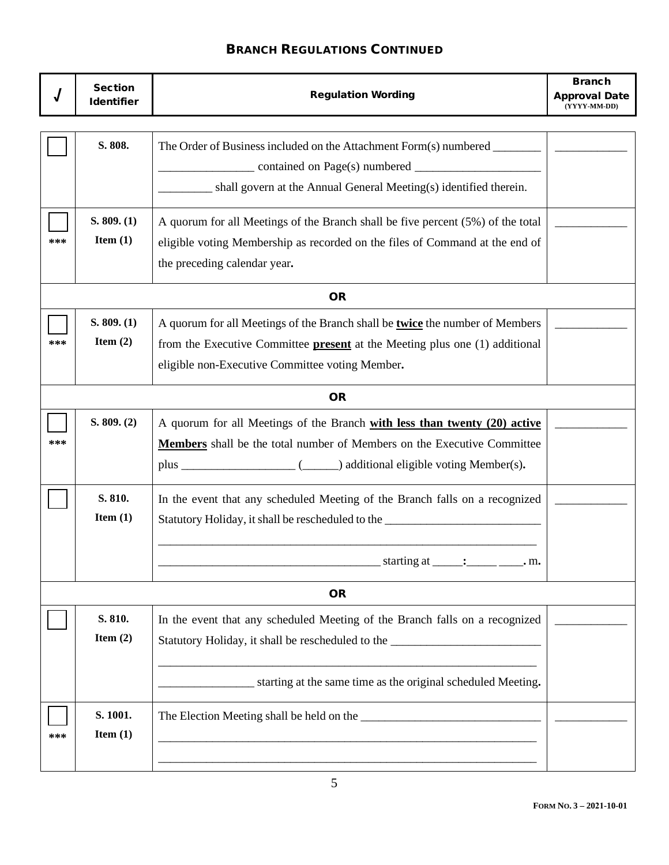|           | <b>Section</b><br><b>Identifier</b> | <b>Regulation Wording</b>                                                          | <b>Branch</b><br><b>Approval Date</b><br>(YYYY-MM-DD) |  |  |
|-----------|-------------------------------------|------------------------------------------------------------------------------------|-------------------------------------------------------|--|--|
|           |                                     |                                                                                    |                                                       |  |  |
|           | S. 808.                             | The Order of Business included on the Attachment Form(s) numbered ________         |                                                       |  |  |
|           |                                     |                                                                                    |                                                       |  |  |
|           |                                     | shall govern at the Annual General Meeting(s) identified therein.                  |                                                       |  |  |
|           | S. 809. (1)                         | A quorum for all Meetings of the Branch shall be five percent (5%) of the total    |                                                       |  |  |
| ***       | Item $(1)$                          | eligible voting Membership as recorded on the files of Command at the end of       |                                                       |  |  |
|           |                                     | the preceding calendar year.                                                       |                                                       |  |  |
|           |                                     | <b>OR</b>                                                                          |                                                       |  |  |
|           | S. 809. (1)                         | A quorum for all Meetings of the Branch shall be twice the number of Members       |                                                       |  |  |
| ***       | Item $(2)$                          | from the Executive Committee <b>present</b> at the Meeting plus one (1) additional |                                                       |  |  |
|           |                                     | eligible non-Executive Committee voting Member.                                    |                                                       |  |  |
|           | <b>OR</b>                           |                                                                                    |                                                       |  |  |
|           | S. 809. (2)                         | A quorum for all Meetings of the Branch with less than twenty (20) active          |                                                       |  |  |
| ***       |                                     | Members shall be the total number of Members on the Executive Committee            |                                                       |  |  |
|           |                                     |                                                                                    |                                                       |  |  |
|           | S. 810.                             | In the event that any scheduled Meeting of the Branch falls on a recognized        |                                                       |  |  |
|           | Item $(1)$                          | Statutory Holiday, it shall be rescheduled to the ______________________________   |                                                       |  |  |
|           |                                     |                                                                                    |                                                       |  |  |
|           |                                     | $\frac{\text{starting at} \dots}{\text{starting at} \dots}$ . m.                   |                                                       |  |  |
| <b>OR</b> |                                     |                                                                                    |                                                       |  |  |
|           | S. 810.                             | In the event that any scheduled Meeting of the Branch falls on a recognized        |                                                       |  |  |
|           | Item $(2)$                          | Statutory Holiday, it shall be rescheduled to the ______________________________   |                                                       |  |  |
|           |                                     |                                                                                    |                                                       |  |  |
|           |                                     | starting at the same time as the original scheduled Meeting.                       |                                                       |  |  |
|           | S. 1001.                            |                                                                                    |                                                       |  |  |
| ***       | Item $(1)$                          |                                                                                    |                                                       |  |  |
|           |                                     |                                                                                    |                                                       |  |  |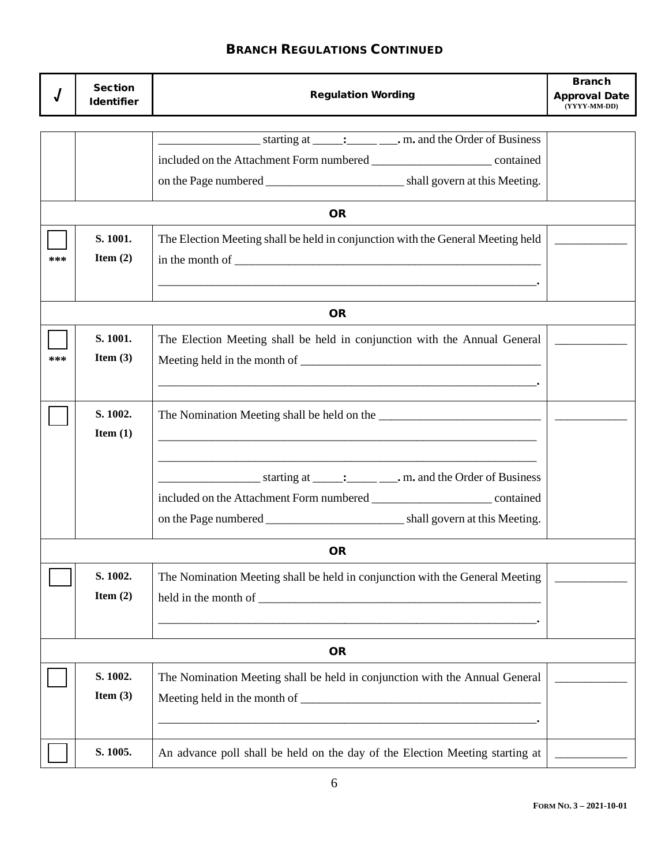|     | <b>Section</b><br><b>Identifier</b> | <b>Regulation Wording</b>                                                                                                                                                                                                                                                      | <b>Branch</b><br><b>Approval Date</b><br>(YYYY-MM-DD) |
|-----|-------------------------------------|--------------------------------------------------------------------------------------------------------------------------------------------------------------------------------------------------------------------------------------------------------------------------------|-------------------------------------------------------|
|     |                                     |                                                                                                                                                                                                                                                                                |                                                       |
|     |                                     |                                                                                                                                                                                                                                                                                |                                                       |
|     |                                     |                                                                                                                                                                                                                                                                                |                                                       |
|     |                                     |                                                                                                                                                                                                                                                                                |                                                       |
|     |                                     | <b>OR</b>                                                                                                                                                                                                                                                                      |                                                       |
|     | S. 1001.                            | The Election Meeting shall be held in conjunction with the General Meeting held                                                                                                                                                                                                |                                                       |
| *** | Item $(2)$                          | in the month of $\sqrt{2}$ and $\sqrt{2}$ and $\sqrt{2}$ and $\sqrt{2}$ and $\sqrt{2}$ and $\sqrt{2}$ and $\sqrt{2}$ and $\sqrt{2}$ and $\sqrt{2}$ and $\sqrt{2}$ and $\sqrt{2}$ and $\sqrt{2}$ and $\sqrt{2}$ and $\sqrt{2}$ and $\sqrt{2}$ and $\sqrt{2}$ and $\sqrt{2}$ and |                                                       |
|     |                                     | $\mathcal{L} = \{ \mathcal{L} \mid \mathcal{L} \in \mathcal{L} \}$ . The contract of the contract of the contract of the contract of the contract of the contract of the contract of the contract of the contract of the contract of the contract of the con                   |                                                       |
|     |                                     |                                                                                                                                                                                                                                                                                |                                                       |
|     |                                     | <b>OR</b>                                                                                                                                                                                                                                                                      |                                                       |
|     | S. 1001.                            | The Election Meeting shall be held in conjunction with the Annual General                                                                                                                                                                                                      |                                                       |
| *** | Item $(3)$                          |                                                                                                                                                                                                                                                                                |                                                       |
|     |                                     | $\blacksquare$ . The contract of the contract of the contract of the contract of the contract of the contract of the contract of the contract of the contract of the contract of the contract of the contract of the contract of the                                           |                                                       |
|     | S. 1002.                            |                                                                                                                                                                                                                                                                                |                                                       |
|     | Item $(1)$                          | <u> 1989 - Johann Barn, amerikan bernama di sebagai bernama di sebagai bernama di sebagai bernama di sebagai bern</u>                                                                                                                                                          |                                                       |
|     |                                     |                                                                                                                                                                                                                                                                                |                                                       |
|     |                                     |                                                                                                                                                                                                                                                                                |                                                       |
|     |                                     |                                                                                                                                                                                                                                                                                |                                                       |
|     |                                     |                                                                                                                                                                                                                                                                                |                                                       |
|     |                                     |                                                                                                                                                                                                                                                                                |                                                       |
|     |                                     | <b>OR</b>                                                                                                                                                                                                                                                                      |                                                       |
|     | S. 1002.                            | The Nomination Meeting shall be held in conjunction with the General Meeting                                                                                                                                                                                                   |                                                       |
|     | Item $(2)$                          |                                                                                                                                                                                                                                                                                |                                                       |
|     |                                     |                                                                                                                                                                                                                                                                                |                                                       |
|     |                                     | <b>OR</b>                                                                                                                                                                                                                                                                      |                                                       |
|     | S. 1002.                            | The Nomination Meeting shall be held in conjunction with the Annual General                                                                                                                                                                                                    |                                                       |
|     | Item $(3)$                          |                                                                                                                                                                                                                                                                                |                                                       |
|     |                                     |                                                                                                                                                                                                                                                                                |                                                       |
|     |                                     |                                                                                                                                                                                                                                                                                |                                                       |
|     | S. 1005.                            | An advance poll shall be held on the day of the Election Meeting starting at                                                                                                                                                                                                   |                                                       |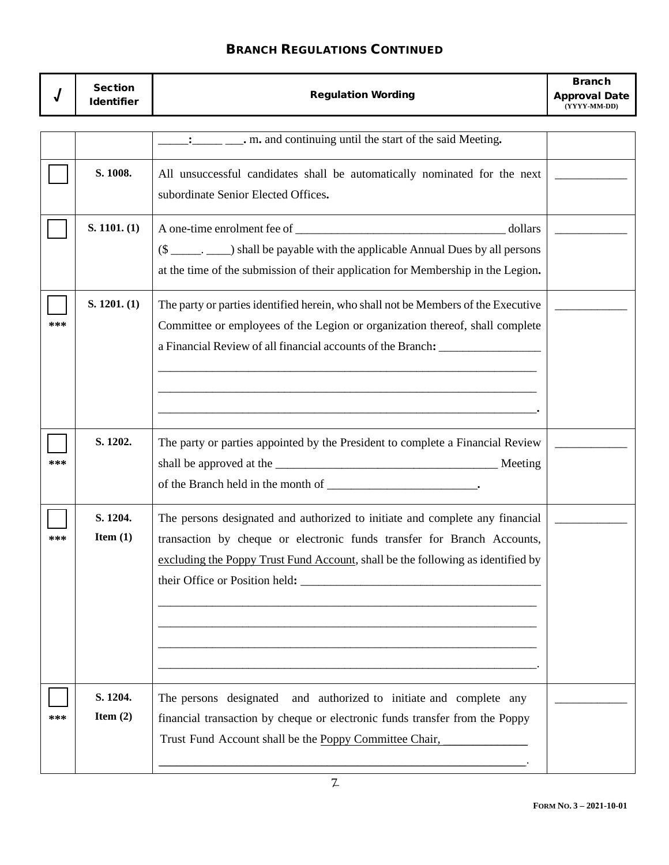|     | <b>Section</b><br><b>Identifier</b> | <b>Regulation Wording</b>                                                                                                                                                                                                                             | <b>Branch</b><br><b>Approval Date</b><br>(YYYY-MM-DD) |
|-----|-------------------------------------|-------------------------------------------------------------------------------------------------------------------------------------------------------------------------------------------------------------------------------------------------------|-------------------------------------------------------|
|     |                                     |                                                                                                                                                                                                                                                       |                                                       |
|     |                                     |                                                                                                                                                                                                                                                       |                                                       |
|     | S. 1008.                            | All unsuccessful candidates shall be automatically nominated for the next<br>subordinate Senior Elected Offices.                                                                                                                                      |                                                       |
|     | S. 1101. (1)                        | dollars                                                                                                                                                                                                                                               |                                                       |
|     |                                     | (\$ _______. _____) shall be payable with the applicable Annual Dues by all persons<br>at the time of the submission of their application for Membership in the Legion.                                                                               |                                                       |
| *** | S. 1201. (1)                        | The party or parties identified herein, who shall not be Members of the Executive<br>Committee or employees of the Legion or organization thereof, shall complete<br>a Financial Review of all financial accounts of the Branch: ____________________ |                                                       |
| *** | S. 1202.                            | The party or parties appointed by the President to complete a Financial Review                                                                                                                                                                        |                                                       |
| *** | S. 1204.<br>Item $(1)$              | The persons designated and authorized to initiate and complete any financial<br>transaction by cheque or electronic funds transfer for Branch Accounts,<br>excluding the Poppy Trust Fund Account, shall be the following as identified by            |                                                       |
| *** | S. 1204.<br>Item $(2)$              | The persons designated and authorized to initiate and complete any<br>financial transaction by cheque or electronic funds transfer from the Poppy<br>Trust Fund Account shall be the Poppy Committee Chair,                                           |                                                       |